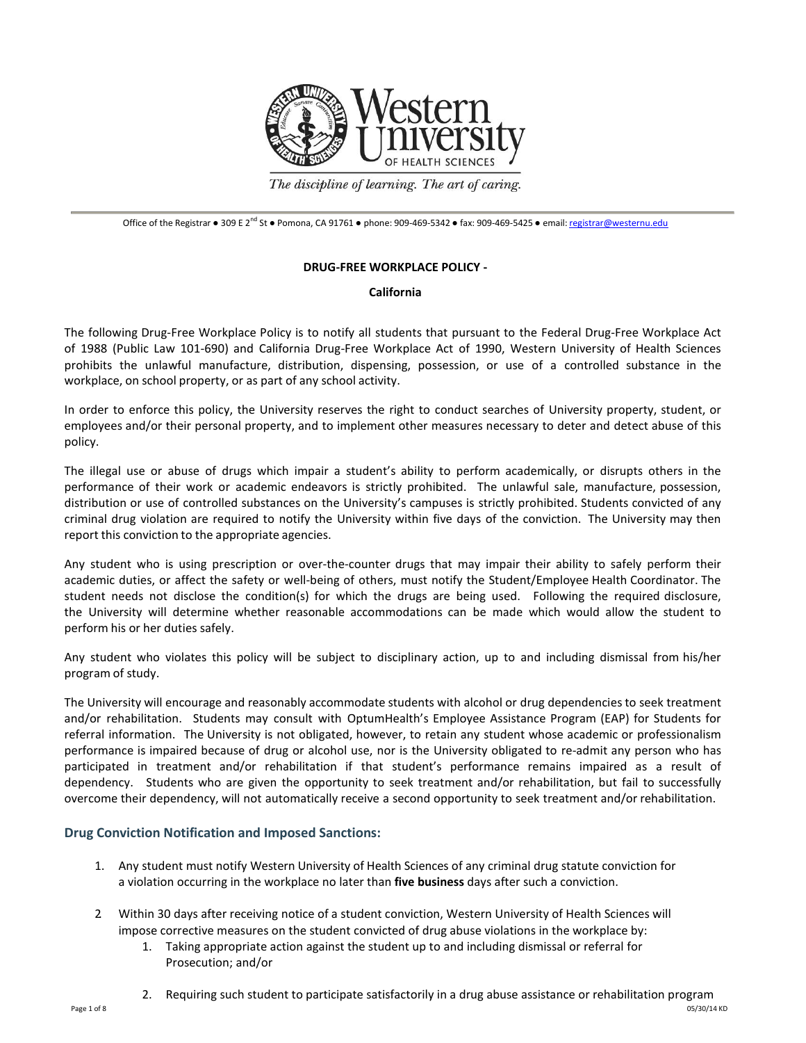

The discipline of learning. The art of caring.

Office of the Registrar • 309 E 2<sup>nd</sup> St • Pomona, CA 91761 • phone: 909-469-5342 • fax: 909-469-5425 • email: [registrar@westernu.edu](mailto:registrar@westernu.edu)

#### **DRUG‐FREE WORKPLACE POLICY -**

#### **California**

The following Drug‐Free Workplace Policy is to notify all students that pursuant to the Federal Drug‐Free Workplace Act of 1988 (Public Law 101‐690) and California Drug‐Free Workplace Act of 1990, Western University of Health Sciences prohibits the unlawful manufacture, distribution, dispensing, possession, or use of a controlled substance in the workplace, on school property, or as part of any school activity.

In order to enforce this policy, the University reserves the right to conduct searches of University property, student, or employees and/or their personal property, and to implement other measures necessary to deter and detect abuse of this policy.

The illegal use or abuse of drugs which impair a student's ability to perform academically, or disrupts others in the performance of their work or academic endeavors is strictly prohibited. The unlawful sale, manufacture, possession, distribution or use of controlled substances on the University's campuses is strictly prohibited. Students convicted of any criminal drug violation are required to notify the University within five days of the conviction. The University may then report this conviction to the appropriate agencies.

Any student who is using prescription or over-the-counter drugs that may impair their ability to safely perform their academic duties, or affect the safety or well‐being of others, must notify the Student/Employee Health Coordinator. The student needs not disclose the condition(s) for which the drugs are being used. Following the required disclosure, the University will determine whether reasonable accommodations can be made which would allow the student to perform his or her duties safely.

Any student who violates this policy will be subject to disciplinary action, up to and including dismissal from his/her program of study.

The University will encourage and reasonably accommodate students with alcohol or drug dependenciesto seek treatment and/or rehabilitation. Students may consult with OptumHealth's Employee Assistance Program (EAP) for Students for referral information. The University is not obligated, however, to retain any student whose academic or professionalism performance is impaired because of drug or alcohol use, nor is the University obligated to re‐admit any person who has participated in treatment and/or rehabilitation if that student's performance remains impaired as a result of dependency. Students who are given the opportunity to seek treatment and/or rehabilitation, but fail to successfully overcome their dependency, will not automatically receive a second opportunity to seek treatment and/or rehabilitation.

## **Drug Conviction Notification and Imposed Sanctions:**

- 1. Any student must notify Western University of Health Sciences of any criminal drug statute conviction for a violation occurring in the workplace no later than **five business** days after such a conviction.
- 2. Within 30 days after receiving notice of a student conviction, Western University of Health Sciences will impose corrective measures on the student convicted of drug abuse violations in the workplace by:
	- 1. Taking appropriate action against the student up to and including dismissal or referral for Prosecution; and/or
	- 2. Requiring such student to participate satisfactorily in a drug abuse assistance or rehabilitation program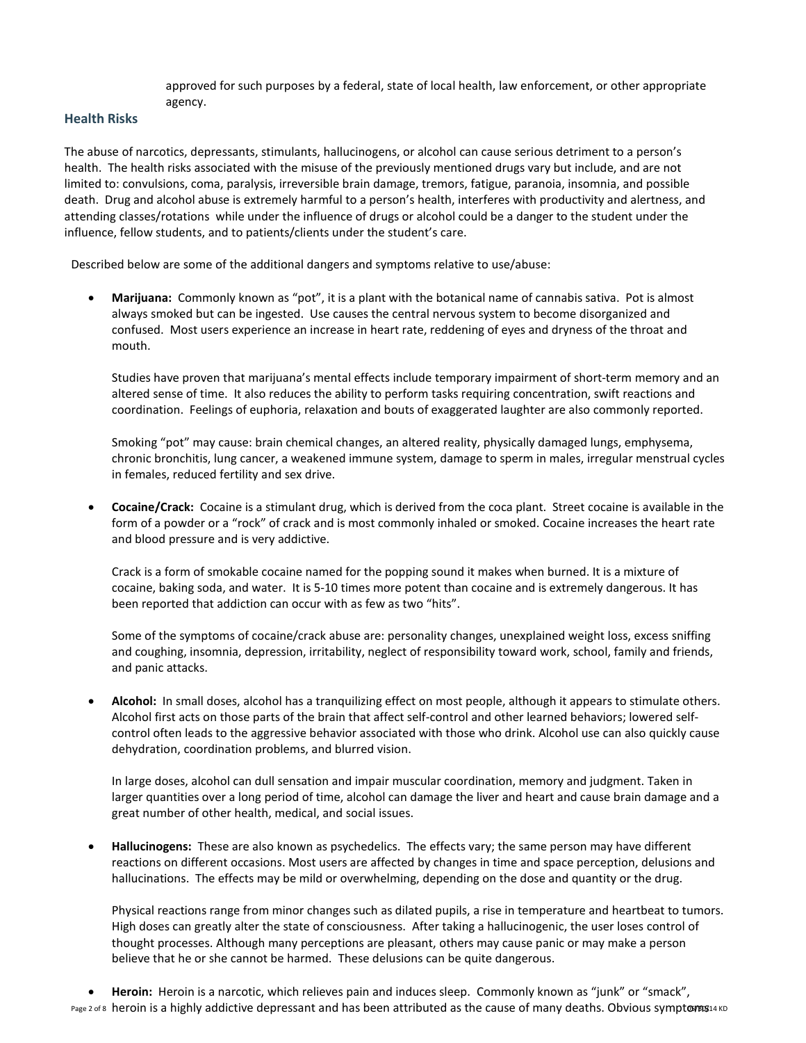approved for such purposes by a federal, state of local health, law enforcement, or other appropriate agency.

#### **Health Risks**

The abuse of narcotics, depressants, stimulants, hallucinogens, or alcohol can cause serious detriment to a person's health. The health risks associated with the misuse of the previously mentioned drugs vary but include, and are not limited to: convulsions, coma, paralysis, irreversible brain damage, tremors, fatigue, paranoia, insomnia, and possible death. Drug and alcohol abuse is extremely harmful to a person's health, interferes with productivity and alertness, and attending classes/rotations while under the influence of drugs or alcohol could be a danger to the student under the influence, fellow students, and to patients/clients under the student's care.

Described below are some of the additional dangers and symptoms relative to use/abuse:

 **Marijuana:** Commonly known as "pot", it is a plant with the botanical name of cannabis sativa. Pot is almost always smoked but can be ingested. Use causes the central nervous system to become disorganized and confused. Most users experience an increase in heart rate, reddening of eyes and dryness of the throat and mouth.

Studies have proven that marijuana's mental effects include temporary impairment of short-term memory and an altered sense of time. It also reduces the ability to perform tasks requiring concentration, swift reactions and coordination. Feelings of euphoria, relaxation and bouts of exaggerated laughter are also commonly reported.

Smoking "pot" may cause: brain chemical changes, an altered reality, physically damaged lungs, emphysema, chronic bronchitis, lung cancer, a weakened immune system, damage to sperm in males, irregular menstrual cycles in females, reduced fertility and sex drive.

 **Cocaine/Crack:** Cocaine is a stimulant drug, which is derived from the coca plant. Street cocaine is available in the form of a powder or a "rock" of crack and is most commonly inhaled or smoked. Cocaine increases the heart rate and blood pressure and is very addictive.

Crack is a form of smokable cocaine named for the popping sound it makes when burned. It is a mixture of cocaine, baking soda, and water. It is 5-10 times more potent than cocaine and is extremely dangerous. It has been reported that addiction can occur with as few as two "hits".

Some of the symptoms of cocaine/crack abuse are: personality changes, unexplained weight loss, excess sniffing and coughing, insomnia, depression, irritability, neglect of responsibility toward work, school, family and friends, and panic attacks.

 **Alcohol:** In small doses, alcohol has a tranquilizing effect on most people, although it appears to stimulate others. Alcohol first acts on those parts of the brain that affect self-control and other learned behaviors; lowered selfcontrol often leads to the aggressive behavior associated with those who drink. Alcohol use can also quickly cause dehydration, coordination problems, and blurred vision.

In large doses, alcohol can dull sensation and impair muscular coordination, memory and judgment. Taken in larger quantities over a long period of time, alcohol can damage the liver and heart and cause brain damage and a great number of other health, medical, and social issues.

 **Hallucinogens:** These are also known as psychedelics. The effects vary; the same person may have different reactions on different occasions. Most users are affected by changes in time and space perception, delusions and hallucinations. The effects may be mild or overwhelming, depending on the dose and quantity or the drug.

Physical reactions range from minor changes such as dilated pupils, a rise in temperature and heartbeat to tumors. High doses can greatly alter the state of consciousness. After taking a hallucinogenic, the user loses control of thought processes. Although many perceptions are pleasant, others may cause panic or may make a person believe that he or she cannot be harmed. These delusions can be quite dangerous.

Page 2 of 8 heroin is a highly addictive depressant and has been attributed as the cause of many deaths. Obvious symptoms $a$ kb **Heroin:** Heroin is a narcotic, which relieves pain and induces sleep. Commonly known as "junk" or "smack",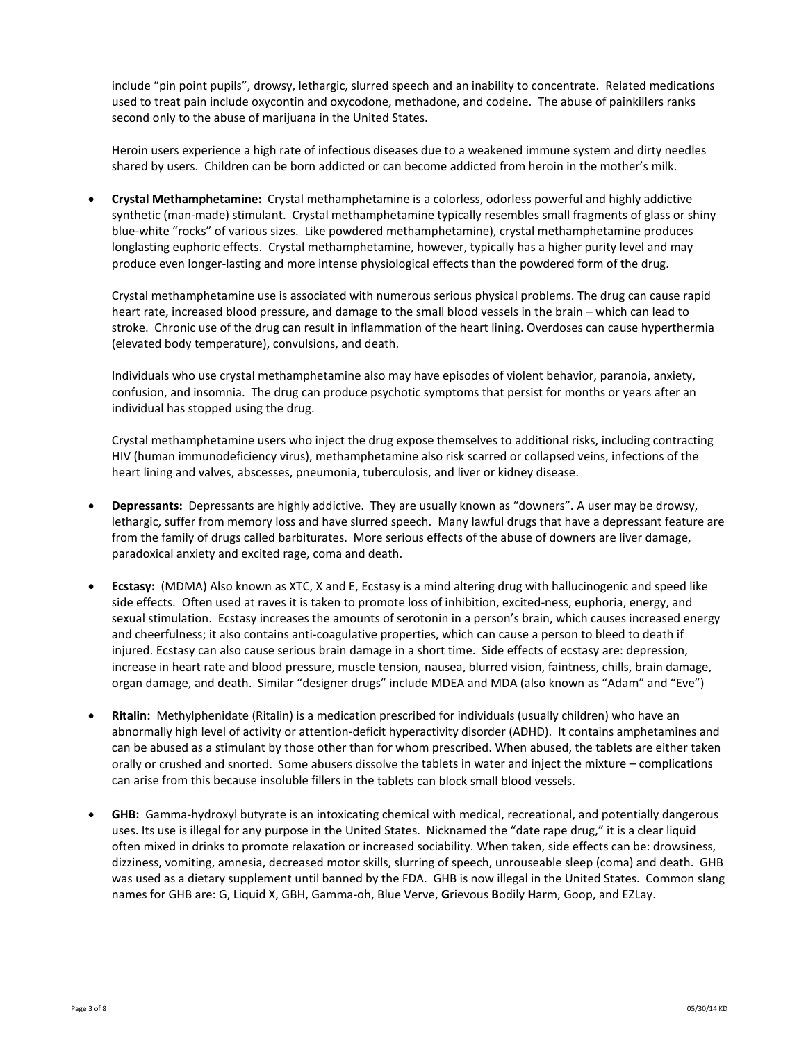include "pin point pupils", drowsy, lethargic, slurred speech and an inability to concentrate. Related medications used to treat pain include oxycontin and oxycodone, methadone, and codeine. The abuse of painkillers ranks second only to the abuse of marijuana in the United States.

Heroin users experience a high rate of infectious diseases due to a weakened immune system and dirty needles shared by users. Children can be born addicted or can become addicted from heroin in the mother's milk.

 **Crystal Methamphetamine:** Crystal methamphetamine is a colorless, odorless powerful and highly addictive synthetic (man-made) stimulant. Crystal methamphetamine typically resembles small fragments of glass or shiny blue-white "rocks" of various sizes. Like powdered methamphetamine), crystal methamphetamine produces longlasting euphoric effects. Crystal methamphetamine, however, typically has a higher purity level and may produce even longer-lasting and more intense physiological effects than the powdered form of the drug.

Crystal methamphetamine use is associated with numerous serious physical problems. The drug can cause rapid heart rate, increased blood pressure, and damage to the small blood vessels in the brain – which can lead to stroke. Chronic use of the drug can result in inflammation of the heart lining. Overdoses can cause hyperthermia (elevated body temperature), convulsions, and death.

Individuals who use crystal methamphetamine also may have episodes of violent behavior, paranoia, anxiety, confusion, and insomnia. The drug can produce psychotic symptoms that persist for months or years after an individual has stopped using the drug.

Crystal methamphetamine users who inject the drug expose themselves to additional risks, including contracting HIV (human immunodeficiency virus), methamphetamine also risk scarred or collapsed veins, infections of the heart lining and valves, abscesses, pneumonia, tuberculosis, and liver or kidney disease.

- **Depressants:** Depressants are highly addictive. They are usually known as "downers". A user may be drowsy, lethargic, suffer from memory loss and have slurred speech. Many lawful drugs that have a depressant feature are from the family of drugs called barbiturates. More serious effects of the abuse of downers are liver damage, paradoxical anxiety and excited rage, coma and death.
- **Ecstasy:** (MDMA) Also known as XTC, X and E, Ecstasy is a mind altering drug with hallucinogenic and speed like side effects. Often used at raves it is taken to promote loss of inhibition, excited-ness, euphoria, energy, and sexual stimulation. Ecstasy increases the amounts of serotonin in a person's brain, which causes increased energy and cheerfulness; it also contains anti-coagulative properties, which can cause a person to bleed to death if injured. Ecstasy can also cause serious brain damage in a short time. Side effects of ecstasy are: depression, increase in heart rate and blood pressure, muscle tension, nausea, blurred vision, faintness, chills, brain damage, organ damage, and death. Similar "designer drugs" include MDEA and MDA (also known as "Adam" and "Eve")
- **Ritalin:** Methylphenidate (Ritalin) is a medication prescribed for individuals (usually children) who have an abnormally high level of activity or attention-deficit hyperactivity disorder (ADHD). It contains amphetamines and can be abused as a stimulant by those other than for whom prescribed. When abused, the tablets are either taken orally or crushed and snorted. Some abusers dissolve the tablets in water and inject the mixture – complications can arise from this because insoluble fillers in the tablets can block small blood vessels.
- **GHB:** Gamma-hydroxyl butyrate is an intoxicating chemical with medical, recreational, and potentially dangerous uses. Its use is illegal for any purpose in the United States. Nicknamed the "date rape drug," it is a clear liquid often mixed in drinks to promote relaxation or increased sociability. When taken, side effects can be: drowsiness, dizziness, vomiting, amnesia, decreased motor skills, slurring of speech, unrouseable sleep (coma) and death. GHB was used as a dietary supplement until banned by the FDA. GHB is now illegal in the United States. Common slang names for GHB are: G, Liquid X, GBH, Gamma-oh, Blue Verve, **G**rievous **B**odily **H**arm, Goop, and EZLay.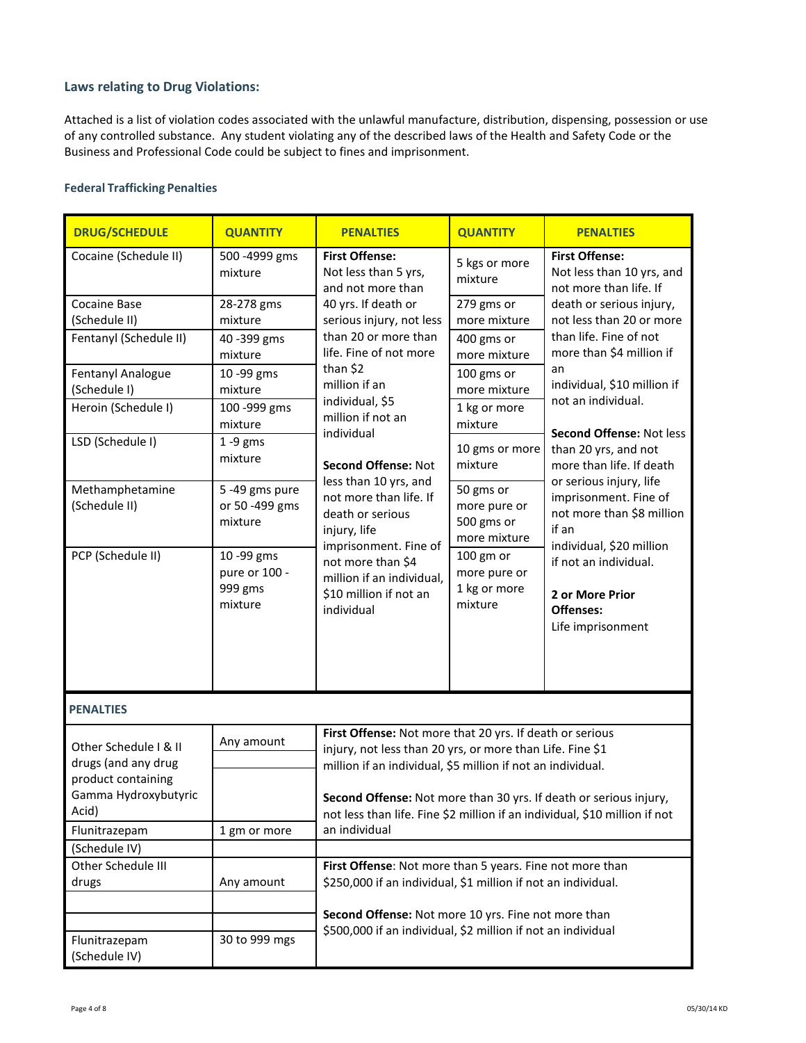# **Laws relating to Drug Violations:**

Attached is a list of violation codes associated with the unlawful manufacture, distribution, dispensing, possession or use of any controlled substance. Any student violating any of the described laws of the Health and Safety Code or the Business and Professional Code could be subject to fines and imprisonment.

# **Federal Trafficking Penalties**

| <b>DRUG/SCHEDULE</b>                                | <b>QUANTITY</b>                                   | <b>PENALTIES</b>                                                                                                                                                                                                                                 | <b>QUANTITY</b>                                         | <b>PENALTIES</b>                                                                                                                                                                                                                                                                                              |  |
|-----------------------------------------------------|---------------------------------------------------|--------------------------------------------------------------------------------------------------------------------------------------------------------------------------------------------------------------------------------------------------|---------------------------------------------------------|---------------------------------------------------------------------------------------------------------------------------------------------------------------------------------------------------------------------------------------------------------------------------------------------------------------|--|
| Cocaine (Schedule II)                               | 500 - 4999 gms<br>mixture                         | <b>First Offense:</b><br>Not less than 5 yrs,<br>and not more than                                                                                                                                                                               | 5 kgs or more<br>mixture                                | <b>First Offense:</b><br>Not less than 10 yrs, and<br>not more than life. If                                                                                                                                                                                                                                  |  |
| Cocaine Base                                        | 28-278 gms                                        | 40 yrs. If death or                                                                                                                                                                                                                              | 279 gms or                                              | death or serious injury,                                                                                                                                                                                                                                                                                      |  |
| (Schedule II)                                       | mixture                                           | serious injury, not less                                                                                                                                                                                                                         | more mixture                                            | not less than 20 or more                                                                                                                                                                                                                                                                                      |  |
| Fentanyl (Schedule II)                              | 40 - 399 gms<br>mixture                           | than 20 or more than<br>life. Fine of not more                                                                                                                                                                                                   | 400 gms or<br>more mixture                              | than life. Fine of not<br>more than \$4 million if                                                                                                                                                                                                                                                            |  |
| Fentanyl Analogue<br>(Schedule I)                   | 10 -99 gms<br>mixture                             | than \$2<br>million if an                                                                                                                                                                                                                        | 100 gms or<br>more mixture                              | an<br>individual, \$10 million if                                                                                                                                                                                                                                                                             |  |
| Heroin (Schedule I)                                 | 100 -999 gms<br>mixture                           | individual, \$5<br>million if not an                                                                                                                                                                                                             | 1 kg or more<br>mixture                                 | not an individual.<br><b>Second Offense: Not less</b><br>than 20 yrs, and not<br>more than life. If death<br>or serious injury, life<br>imprisonment. Fine of<br>not more than \$8 million<br>if an<br>individual, \$20 million<br>if not an individual.<br>2 or More Prior<br>Offenses:<br>Life imprisonment |  |
| LSD (Schedule I)                                    | $1 - 9$ gms<br>mixture                            | individual<br><b>Second Offense: Not</b><br>less than 10 yrs, and<br>not more than life. If<br>death or serious<br>injury, life                                                                                                                  | 10 gms or more<br>mixture                               |                                                                                                                                                                                                                                                                                                               |  |
| Methamphetamine<br>(Schedule II)                    | 5-49 gms pure<br>or 50 -499 gms<br>mixture        |                                                                                                                                                                                                                                                  | 50 gms or<br>more pure or<br>500 gms or<br>more mixture |                                                                                                                                                                                                                                                                                                               |  |
| PCP (Schedule II)                                   | 10 -99 gms<br>pure or 100 -<br>999 gms<br>mixture | imprisonment. Fine of<br>not more than \$4<br>million if an individual,<br>\$10 million if not an<br>individual                                                                                                                                  | 100 gm or<br>more pure or<br>1 kg or more<br>mixture    |                                                                                                                                                                                                                                                                                                               |  |
| <b>PENALTIES</b>                                    |                                                   |                                                                                                                                                                                                                                                  |                                                         |                                                                                                                                                                                                                                                                                                               |  |
| Other Schedule I & II                               | Any amount                                        | First Offense: Not more that 20 yrs. If death or serious<br>injury, not less than 20 yrs, or more than Life. Fine \$1                                                                                                                            |                                                         |                                                                                                                                                                                                                                                                                                               |  |
| drugs (and any drug                                 |                                                   | million if an individual, \$5 million if not an individual.                                                                                                                                                                                      |                                                         |                                                                                                                                                                                                                                                                                                               |  |
| product containing<br>Gamma Hydroxybutyric<br>Acid) |                                                   | Second Offense: Not more than 30 yrs. If death or serious injury,<br>not less than life. Fine \$2 million if an individual, \$10 million if not<br>an individual                                                                                 |                                                         |                                                                                                                                                                                                                                                                                                               |  |
| Flunitrazepam                                       | 1 gm or more                                      |                                                                                                                                                                                                                                                  |                                                         |                                                                                                                                                                                                                                                                                                               |  |
| (Schedule IV)                                       |                                                   |                                                                                                                                                                                                                                                  |                                                         |                                                                                                                                                                                                                                                                                                               |  |
| Other Schedule III<br>drugs                         | Any amount                                        | First Offense: Not more than 5 years. Fine not more than<br>\$250,000 if an individual, \$1 million if not an individual.<br>Second Offense: Not more 10 yrs. Fine not more than<br>\$500,000 if an individual, \$2 million if not an individual |                                                         |                                                                                                                                                                                                                                                                                                               |  |
| Flunitrazepam<br>(Schedule IV)                      | 30 to 999 mgs                                     |                                                                                                                                                                                                                                                  |                                                         |                                                                                                                                                                                                                                                                                                               |  |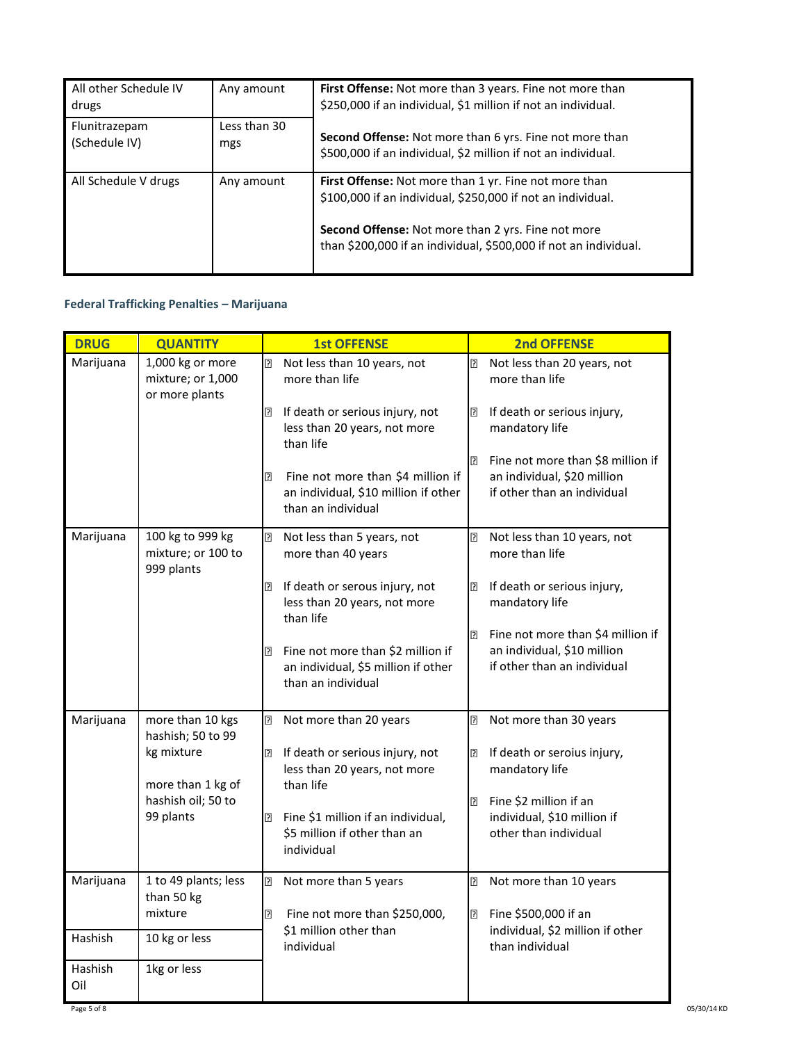| All other Schedule IV<br>drugs | Any amount          | First Offense: Not more than 3 years. Fine not more than<br>\$250,000 if an individual, \$1 million if not an individual.                                                                                                                             |
|--------------------------------|---------------------|-------------------------------------------------------------------------------------------------------------------------------------------------------------------------------------------------------------------------------------------------------|
| Flunitrazepam<br>(Schedule IV) | Less than 30<br>mgs | <b>Second Offense:</b> Not more than 6 yrs. Fine not more than<br>\$500,000 if an individual, \$2 million if not an individual.                                                                                                                       |
| All Schedule V drugs           | Any amount          | First Offense: Not more than 1 yr. Fine not more than<br>\$100,000 if an individual, \$250,000 if not an individual.<br><b>Second Offense:</b> Not more than 2 yrs. Fine not more<br>than \$200,000 if an individual, \$500,000 if not an individual. |

# **Federal Trafficking Penalties – Marijuana**

| <b>DRUG</b>    | <b>QUANTITY</b>                                         | <b>1st OFFENSE</b>                                                                                    | <b>2nd OFFENSE</b>                                                                                                |
|----------------|---------------------------------------------------------|-------------------------------------------------------------------------------------------------------|-------------------------------------------------------------------------------------------------------------------|
| Marijuana      | 1,000 kg or more<br>mixture; or 1,000<br>or more plants | Not less than 10 years, not<br>"<br>more than life                                                    | ?<br>Not less than 20 years, not<br>more than life                                                                |
|                |                                                         | If death or serious injury, not<br>7<br>less than 20 years, not more<br>than life                     | If death or serious injury,<br>$\overline{3}$<br>mandatory life                                                   |
|                |                                                         | Fine not more than \$4 million if<br>13<br>an individual, \$10 million if other<br>than an individual | Fine not more than \$8 million if<br>$\boxed{?}$<br>an individual, \$20 million<br>if other than an individual    |
| Marijuana      | 100 kg to 999 kg<br>mixture; or 100 to<br>999 plants    | $\overline{P}$<br>Not less than 5 years, not<br>more than 40 years                                    | Not less than 10 years, not<br>?<br>more than life                                                                |
|                |                                                         | If death or serous injury, not<br>⊡<br>less than 20 years, not more<br>than life                      | If death or serious injury,<br>3<br>mandatory life                                                                |
|                |                                                         | Fine not more than \$2 million if<br>13<br>an individual, \$5 million if other<br>than an individual  | Fine not more than \$4 million if<br>$\overline{P}$<br>an individual, \$10 million<br>if other than an individual |
| Marijuana      | more than 10 kgs<br>hashish; 50 to 99                   | 2<br>Not more than 20 years                                                                           | ?<br>Not more than 30 years                                                                                       |
|                | kg mixture                                              | If death or serious injury, not<br>⊡<br>less than 20 years, not more                                  | If death or seroius injury,<br>$\overline{?}$<br>mandatory life                                                   |
|                | more than 1 kg of<br>hashish oil; 50 to                 | than life                                                                                             | Fine \$2 million if an<br>$\overline{2}$                                                                          |
|                | 99 plants                                               | Fine \$1 million if an individual,<br>R<br>\$5 million if other than an<br>individual                 | individual, \$10 million if<br>other than individual                                                              |
| Marijuana      | 1 to 49 plants; less<br>than 50 kg                      | Not more than 5 years<br>⊡                                                                            | ิ้อ<br>Not more than 10 years                                                                                     |
|                | mixture                                                 | Fine not more than \$250,000,<br>⊡                                                                    | Fine \$500,000 if an<br>$\boxed{?}$                                                                               |
| Hashish        | 10 kg or less                                           | \$1 million other than<br>individual                                                                  | individual, \$2 million if other<br>than individual                                                               |
| Hashish<br>Oil | 1kg or less                                             |                                                                                                       |                                                                                                                   |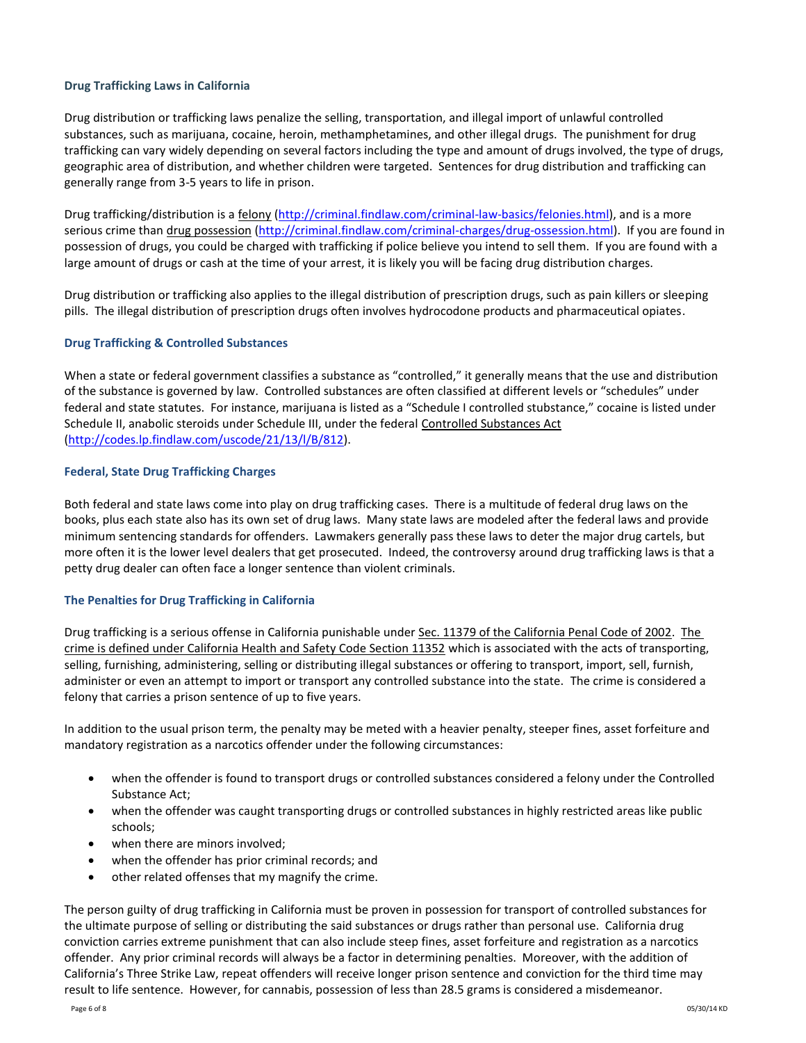#### **Drug Trafficking Laws in California**

Drug distribution or trafficking laws penalize the selling, transportation, and illegal import of unlawful controlled substances, such as marijuana, cocaine, heroin, methamphetamines, and other illegal drugs. The punishment for drug trafficking can vary widely depending on several factors including the type and amount of drugs involved, the type of drugs, geographic area of distribution, and whether children were targeted. Sentences for drug distribution and trafficking can generally range from 3-5 years to life in prison.

Drug trafficking/distribution is a felony [\(http://criminal.findlaw.com/criminal-law-basics/felonies.html\)](http://criminal.findlaw.com/criminal-law-basics/felonies.html), and is a more serious crime than drug possession [\(http://criminal.findlaw.com/criminal-charges/drug-ossession.html\)](http://criminal.findlaw.com/criminal-charges/drug-ossession.html). If you are found in possession of drugs, you could be charged with trafficking if police believe you intend to sell them. If you are found with a large amount of drugs or cash at the time of your arrest, it is likely you will be facing drug distribution charges.

Drug distribution or trafficking also applies to the illegal distribution of prescription drugs, such as pain killers or sleeping pills. The illegal distribution of prescription drugs often involves hydrocodone products and pharmaceutical opiates.

#### **Drug Trafficking & Controlled Substances**

When a state or federal government classifies a substance as "controlled," it generally means that the use and distribution of the substance is governed by law. Controlled substances are often classified at different levels or "schedules" under federal and state statutes. For instance, marijuana is listed as a "Schedule I controlled stubstance," cocaine is listed under Schedule II, anabolic steroids under Schedule III, under the federal Controlled Substances Act [\(http://codes.lp.findlaw.com/uscode/21/13/l/B/812\)](http://codes.lp.findlaw.com/uscode/21/13/l/B/812).

#### **Federal, State Drug Trafficking Charges**

Both federal and state laws come into play on drug trafficking cases. There is a multitude of federal drug laws on the books, plus each state also has its own set of drug laws. Many state laws are modeled after the federal laws and provide minimum sentencing standards for offenders. Lawmakers generally pass these laws to deter the major drug cartels, but more often it is the lower level dealers that get prosecuted. Indeed, the controversy around drug trafficking laws is that a petty drug dealer can often face a longer sentence than violent criminals.

## **The Penalties for Drug Trafficking in California**

Drug trafficking is a serious offense in California punishable under Sec. 11379 of the California Penal Code of 2002. The crime is defined under California Health and Safety Code Section 11352 which is associated with the acts of transporting, selling, furnishing, administering, selling or distributing illegal substances or offering to transport, import, sell, furnish, administer or even an attempt to import or transport any controlled substance into the state. The crime is considered a felony that carries a prison sentence of up to five years.

In addition to the usual prison term, the penalty may be meted with a heavier penalty, steeper fines, asset forfeiture and mandatory registration as a narcotics offender under the following circumstances:

- when the offender is found to transport drugs or controlled substances considered a felony under the Controlled Substance Act;
- when the offender was caught transporting drugs or controlled substances in highly restricted areas like public schools;
- when there are minors involved;
- when the offender has prior criminal records; and
- other related offenses that my magnify the crime.

The person guilty of drug trafficking in California must be proven in possession for transport of controlled substances for the ultimate purpose of selling or distributing the said substances or drugs rather than personal use. California drug conviction carries extreme punishment that can also include steep fines, asset forfeiture and registration as a narcotics offender. Any prior criminal records will always be a factor in determining penalties. Moreover, with the addition of California's Three Strike Law, repeat offenders will receive longer prison sentence and conviction for the third time may result to life sentence. However, for cannabis, possession of less than 28.5 grams is considered a misdemeanor.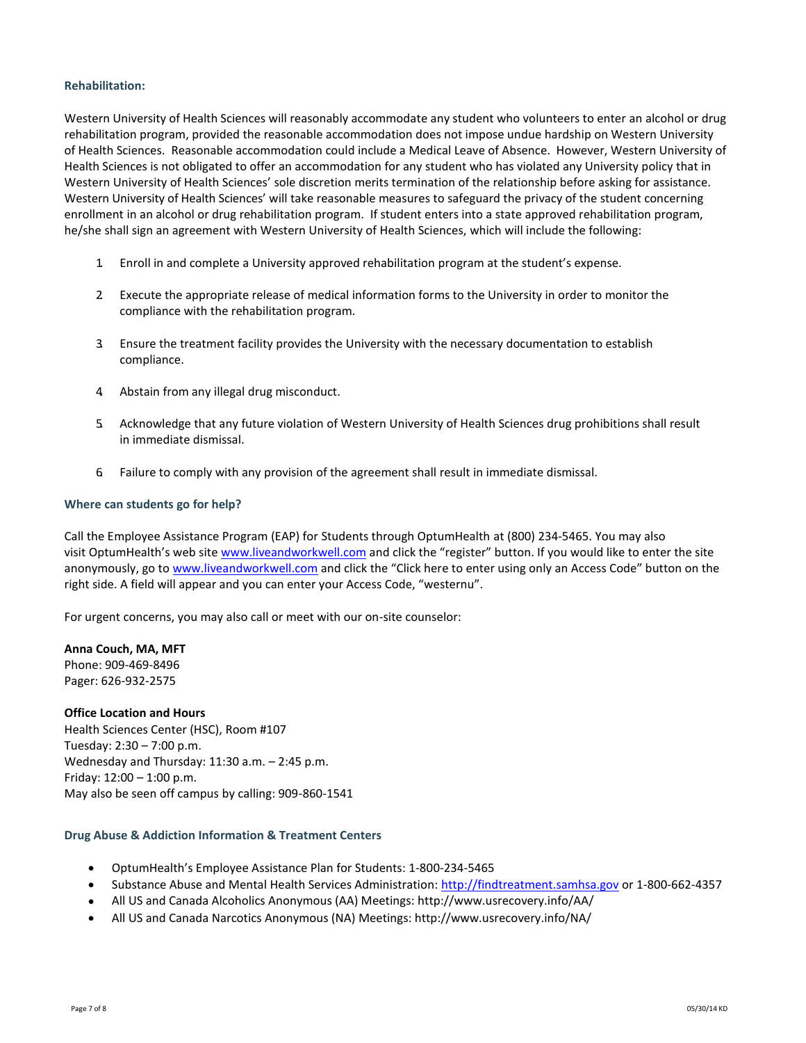#### **Rehabilitation:**

Western University of Health Sciences will reasonably accommodate any student who volunteers to enter an alcohol or drug rehabilitation program, provided the reasonable accommodation does not impose undue hardship on Western University of Health Sciences. Reasonable accommodation could include a Medical Leave of Absence. However, Western University of Health Sciences is not obligated to offer an accommodation for any student who has violated any University policy that in Western University of Health Sciences' sole discretion merits termination of the relationship before asking for assistance. Western University of Health Sciences' will take reasonable measures to safeguard the privacy of the student concerning enrollment in an alcohol or drug rehabilitation program. If student enters into a state approved rehabilitation program, he/she shall sign an agreement with Western University of Health Sciences, which will include the following:

- 1. Enroll in and complete a University approved rehabilitation program at the student's expense.
- 2. Execute the appropriate release of medical information forms to the University in order to monitor the compliance with the rehabilitation program.
- 3. Ensure the treatment facility provides the University with the necessary documentation to establish compliance.
- 4. Abstain from any illegal drug misconduct.
- 5. Acknowledge that any future violation of Western University of Health Sciences drug prohibitions shall result in immediate dismissal.
- 6. Failure to comply with any provision of the agreement shall result in immediate dismissal.

#### **Where can students go for help?**

Call the Employee Assistance Program (EAP) for Students through OptumHealth at (800) 234-5465. You may also visit OptumHealth's web site [www.liveandworkwell.com](http://www.liveandworkwell.com/) and click the "register" button. If you would like to enter the site anonymously, go to [www.liveandworkwell.com](http://www.liveandworkwell.com/) and click the "Click here to enter using only an Access Code" button on the right side. A field will appear and you can enter your Access Code, "westernu".

For urgent concerns, you may also call or meet with our on-site counselor:

**Anna Couch, MA, MFT** Phone: 909-469-8496 Pager: 626-932-2575

#### **Office Location and Hours**

Health Sciences Center (HSC), Room #107 Tuesday: 2:30 – 7:00 p.m. Wednesday and Thursday: 11:30 a.m. – 2:45 p.m. Friday:  $12:00 - 1:00$  p.m. May also be seen off campus by calling: 909-860-1541

#### **Drug Abuse & Addiction Information & Treatment Centers**

- OptumHealth's Employee Assistance Plan for Students: 1-800-234-5465
- Substance Abuse and Mental Health Services Administration: [http://findtreatment.samhsa.gov](http://findtreatment.samhsa.gov/) or 1-800-662-4357
- All US and Canada Alcoholics Anonymous (AA) Meetings: http://www.usrecovery.info/AA/
- All US and Canada Narcotics Anonymous (NA) Meetings: htt[p://www.usrecovery.info/NA/](http://www.usrecovery.info/AA/California.htm)